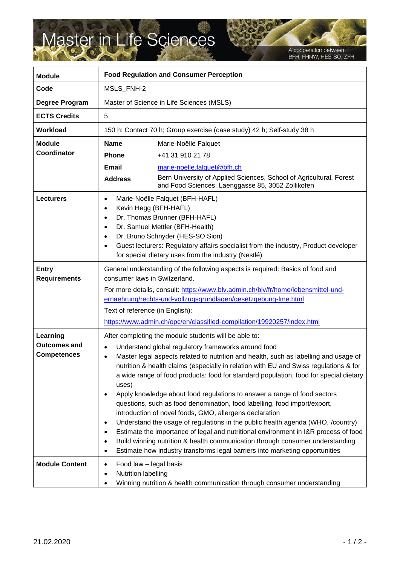## Master in Life Sciences

A cooperation between<br>BFH, FHNW, HES-SO, ZFH

| <b>Module</b>                                         | <b>Food Regulation and Consumer Perception</b>                                                                                                                                                                                                                                                                                                                                                                                                                                                                                                                                                                                                                                                                                                                                                                                                                                                                                                                                                                  |                                                                                                                                                                                                     |
|-------------------------------------------------------|-----------------------------------------------------------------------------------------------------------------------------------------------------------------------------------------------------------------------------------------------------------------------------------------------------------------------------------------------------------------------------------------------------------------------------------------------------------------------------------------------------------------------------------------------------------------------------------------------------------------------------------------------------------------------------------------------------------------------------------------------------------------------------------------------------------------------------------------------------------------------------------------------------------------------------------------------------------------------------------------------------------------|-----------------------------------------------------------------------------------------------------------------------------------------------------------------------------------------------------|
| Code                                                  | MSLS_FNH-2                                                                                                                                                                                                                                                                                                                                                                                                                                                                                                                                                                                                                                                                                                                                                                                                                                                                                                                                                                                                      |                                                                                                                                                                                                     |
| Degree Program                                        | Master of Science in Life Sciences (MSLS)                                                                                                                                                                                                                                                                                                                                                                                                                                                                                                                                                                                                                                                                                                                                                                                                                                                                                                                                                                       |                                                                                                                                                                                                     |
| <b>ECTS Credits</b>                                   | 5                                                                                                                                                                                                                                                                                                                                                                                                                                                                                                                                                                                                                                                                                                                                                                                                                                                                                                                                                                                                               |                                                                                                                                                                                                     |
| <b>Workload</b>                                       | 150 h: Contact 70 h; Group exercise (case study) 42 h; Self-study 38 h                                                                                                                                                                                                                                                                                                                                                                                                                                                                                                                                                                                                                                                                                                                                                                                                                                                                                                                                          |                                                                                                                                                                                                     |
| <b>Module</b><br><b>Coordinator</b>                   | <b>Name</b><br><b>Phone</b><br>Email<br><b>Address</b>                                                                                                                                                                                                                                                                                                                                                                                                                                                                                                                                                                                                                                                                                                                                                                                                                                                                                                                                                          | Marie-Noëlle Falquet<br>+41 31 910 21 78<br>marie-noelle.falquet@bfh.ch<br>Bern University of Applied Sciences, School of Agricultural, Forest<br>and Food Sciences, Laenggasse 85, 3052 Zollikofen |
| <b>Lecturers</b>                                      | Marie-Noëlle Falquet (BFH-HAFL)<br>$\bullet$<br>Kevin Hegg (BFH-HAFL)<br>$\bullet$<br>Dr. Thomas Brunner (BFH-HAFL)<br>$\bullet$<br>Dr. Samuel Mettler (BFH-Health)<br>$\bullet$<br>Dr. Bruno Schnyder (HES-SO Sion)<br>$\bullet$<br>Guest lecturers: Regulatory affairs specialist from the industry, Product developer<br>$\bullet$<br>for special dietary uses from the industry (Nestlé)                                                                                                                                                                                                                                                                                                                                                                                                                                                                                                                                                                                                                    |                                                                                                                                                                                                     |
| <b>Entry</b><br><b>Requirements</b>                   | General understanding of the following aspects is required: Basics of food and<br>consumer laws in Switzerland.<br>For more details, consult: https://www.blv.admin.ch/blv/fr/home/lebensmittel-und-<br>ernaehrung/rechts-und-vollzugsgrundlagen/gesetzgebung-Ime.html<br>Text of reference (in English):<br>https://www.admin.ch/opc/en/classified-compilation/19920257/index.html                                                                                                                                                                                                                                                                                                                                                                                                                                                                                                                                                                                                                             |                                                                                                                                                                                                     |
| Learning<br><b>Outcomes and</b><br><b>Competences</b> | After completing the module students will be able to:<br>Understand global regulatory frameworks around food<br>$\bullet$<br>Master legal aspects related to nutrition and health, such as labelling and usage of<br>$\bullet$<br>nutrition & health claims (especially in relation with EU and Swiss regulations & for<br>a wide range of food products: food for standard population, food for special dietary<br>uses)<br>Apply knowledge about food regulations to answer a range of food sectors<br>questions, such as food denomination, food labelling, food import/export,<br>introduction of novel foods, GMO, allergens declaration<br>Understand the usage of regulations in the public health agenda (WHO, /country)<br>٠<br>Estimate the importance of legal and nutritional environment in I&R process of food<br>Build winning nutrition & health communication through consumer understanding<br>٠<br>Estimate how industry transforms legal barriers into marketing opportunities<br>$\bullet$ |                                                                                                                                                                                                     |
| <b>Module Content</b>                                 | Food law - legal basis<br>٠<br>Nutrition labelling<br>٠                                                                                                                                                                                                                                                                                                                                                                                                                                                                                                                                                                                                                                                                                                                                                                                                                                                                                                                                                         | Winning nutrition & health communication through consumer understanding                                                                                                                             |